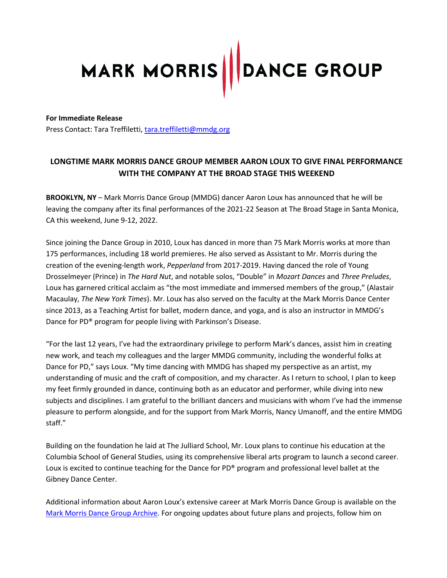# MARK MORRIS | DANCE GROUP

### **For Immediate Release**

Press Contact: Tara Treffiletti, [tara.treffiletti@mmdg.org](mailto:tara.treffiletti@mmdg.org)

# **LONGTIME MARK MORRIS DANCE GROUP MEMBER AARON LOUX TO GIVE FINAL PERFORMANCE WITH THE COMPANY AT THE BROAD STAGE THIS WEEKEND**

**BROOKLYN, NY** – Mark Morris Dance Group (MMDG) dancer Aaron Loux has announced that he will be leaving the company after its final performances of the 2021-22 Season at The Broad Stage in Santa Monica, CA this weekend, June 9-12, 2022.

Since joining the Dance Group in 2010, Loux has danced in more than 75 Mark Morris works at more than 175 performances, including 18 world premieres. He also served as Assistant to Mr. Morris during the creation of the evening-length work, *Pepperland* from 2017-2019. Having danced the role of Young Drosselmeyer (Prince) in *The Hard Nut*, and notable solos, "Double" in *Mozart Dances* and *Three Preludes*, Loux has garnered critical acclaim as "the most immediate and immersed members of the group," (Alastair Macaulay, *The New York Times*). Mr. Loux has also served on the faculty at the Mark Morris Dance Center since 2013, as a Teaching Artist for ballet, modern dance, and yoga, and is also an instructor in MMDG's Dance for PD® program for people living with Parkinson's Disease.

"For the last 12 years, I've had the extraordinary privilege to perform Mark's dances, assist him in creating new work, and teach my colleagues and the larger MMDG community, including the wonderful folks at Dance for PD," says Loux. "My time dancing with MMDG has shaped my perspective as an artist, my understanding of music and the craft of composition, and my character. As I return to school, I plan to keep my feet firmly grounded in dance, continuing both as an educator and performer, while diving into new subjects and disciplines. I am grateful to the brilliant dancers and musicians with whom I've had the immense pleasure to perform alongside, and for the support from Mark Morris, Nancy Umanoff, and the entire MMDG staff."

Building on the foundation he laid at The Julliard School, Mr. Loux plans to continue his education at the Columbia School of General Studies, using its comprehensive liberal arts program to launch a second career. Loux is excited to continue teaching for the Dance for PD® program and professional level ballet at the Gibney Dance Center.

Additional information about Aaron Loux's extensive career at Mark Morris Dance Group is available on the [Mark Morris Dance Group](https://archives.mmdg.org/Detail/entities/4280) Archive. For ongoing updates about future plans and projects, follow him on